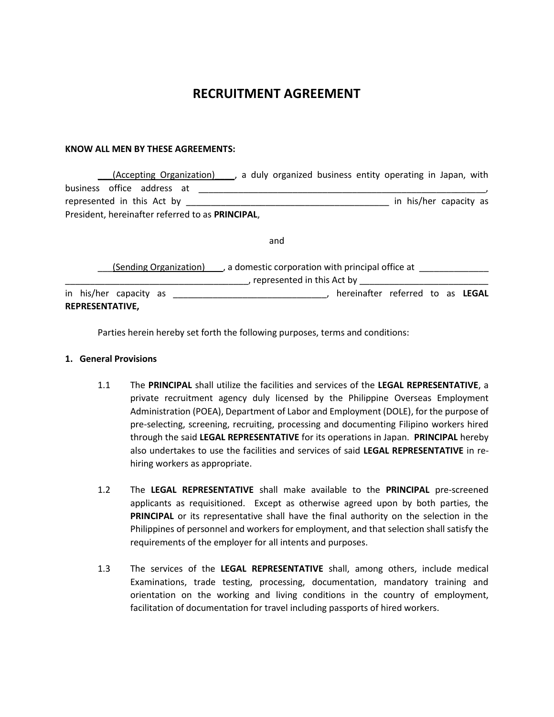# **RECRUITMENT AGREEMENT**

#### **KNOW ALL MEN BY THESE AGREEMENTS:**

|                                                  |  | (Accepting Organization)   |  |  |  |  |  |  |                        | , a duly organized business entity operating in Japan, with |  |  |
|--------------------------------------------------|--|----------------------------|--|--|--|--|--|--|------------------------|-------------------------------------------------------------|--|--|
|                                                  |  | business office address at |  |  |  |  |  |  |                        |                                                             |  |  |
| represented in this Act by                       |  |                            |  |  |  |  |  |  | in his/her capacity as |                                                             |  |  |
| President, hereinafter referred to as PRINCIPAL, |  |                            |  |  |  |  |  |  |                        |                                                             |  |  |

and

(Sending Organization) , a domestic corporation with principal office at \_\_\_\_\_\_\_ \_\_\_\_\_\_\_\_\_\_\_\_\_\_\_\_\_\_\_\_\_\_\_\_\_\_\_\_\_\_\_\_\_\_\_\_\_, represented in this Act by \_\_\_\_\_\_\_\_\_\_\_\_\_\_\_\_\_\_\_\_\_\_\_\_\_\_ in his/her capacity as \_\_\_\_\_\_\_\_\_\_\_\_\_\_\_\_\_\_\_\_\_\_\_\_\_\_\_\_\_\_\_, hereinafter referred to as **LEGAL REPRESENTATIVE,**

Parties herein hereby set forth the following purposes, terms and conditions:

#### **1. General Provisions**

- 1.1 The **PRINCIPAL** shall utilize the facilities and services of the **LEGAL REPRESENTATIVE**, a private recruitment agency duly licensed by the Philippine Overseas Employment Administration (POEA), Department of Labor and Employment (DOLE), for the purpose of pre-selecting, screening, recruiting, processing and documenting Filipino workers hired through the said **LEGAL REPRESENTATIVE** for its operations in Japan. **PRINCIPAL** hereby also undertakes to use the facilities and services of said **LEGAL REPRESENTATIVE** in rehiring workers as appropriate.
- 1.2 The **LEGAL REPRESENTATIVE** shall make available to the **PRINCIPAL** pre-screened applicants as requisitioned. Except as otherwise agreed upon by both parties, the **PRINCIPAL** or its representative shall have the final authority on the selection in the Philippines of personnel and workers for employment, and that selection shall satisfy the requirements of the employer for all intents and purposes.
- 1.3 The services of the **LEGAL REPRESENTATIVE** shall, among others, include medical Examinations, trade testing, processing, documentation, mandatory training and orientation on the working and living conditions in the country of employment, facilitation of documentation for travel including passports of hired workers.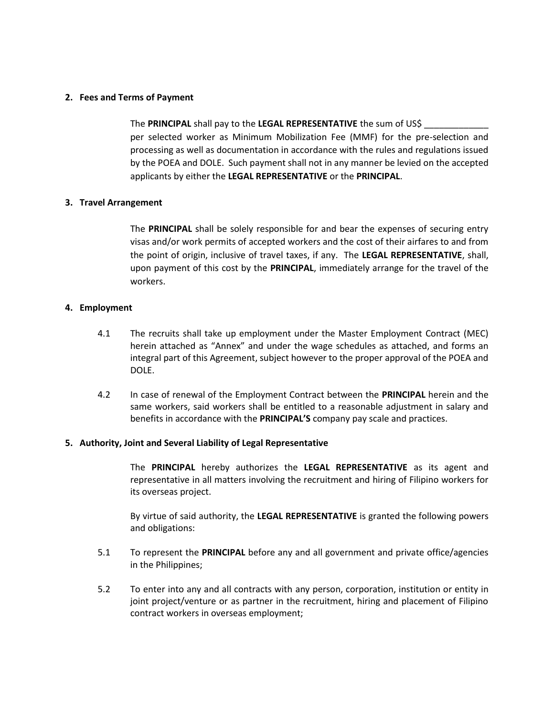# **2. Fees and Terms of Payment**

The **PRINCIPAL** shall pay to the **LEGAL REPRESENTATIVE** the sum of US\$ \_\_\_\_\_\_\_\_\_\_\_\_\_ per selected worker as Minimum Mobilization Fee (MMF) for the pre-selection and processing as well as documentation in accordance with the rules and regulations issued by the POEA and DOLE. Such payment shall not in any manner be levied on the accepted applicants by either the **LEGAL REPRESENTATIVE** or the **PRINCIPAL**.

## **3. Travel Arrangement**

The **PRINCIPAL** shall be solely responsible for and bear the expenses of securing entry visas and/or work permits of accepted workers and the cost of their airfares to and from the point of origin, inclusive of travel taxes, if any. The **LEGAL REPRESENTATIVE**, shall, upon payment of this cost by the **PRINCIPAL**, immediately arrange for the travel of the workers.

## **4. Employment**

- 4.1 The recruits shall take up employment under the Master Employment Contract (MEC) herein attached as "Annex" and under the wage schedules as attached, and forms an integral part of this Agreement, subject however to the proper approval of the POEA and DOLE.
- 4.2 In case of renewal of the Employment Contract between the **PRINCIPAL** herein and the same workers, said workers shall be entitled to a reasonable adjustment in salary and benefits in accordance with the **PRINCIPAL'S** company pay scale and practices.

#### **5. Authority, Joint and Several Liability of Legal Representative**

The **PRINCIPAL** hereby authorizes the **LEGAL REPRESENTATIVE** as its agent and representative in all matters involving the recruitment and hiring of Filipino workers for its overseas project.

By virtue of said authority, the **LEGAL REPRESENTATIVE** is granted the following powers and obligations:

- 5.1 To represent the **PRINCIPAL** before any and all government and private office/agencies in the Philippines;
- 5.2 To enter into any and all contracts with any person, corporation, institution or entity in joint project/venture or as partner in the recruitment, hiring and placement of Filipino contract workers in overseas employment;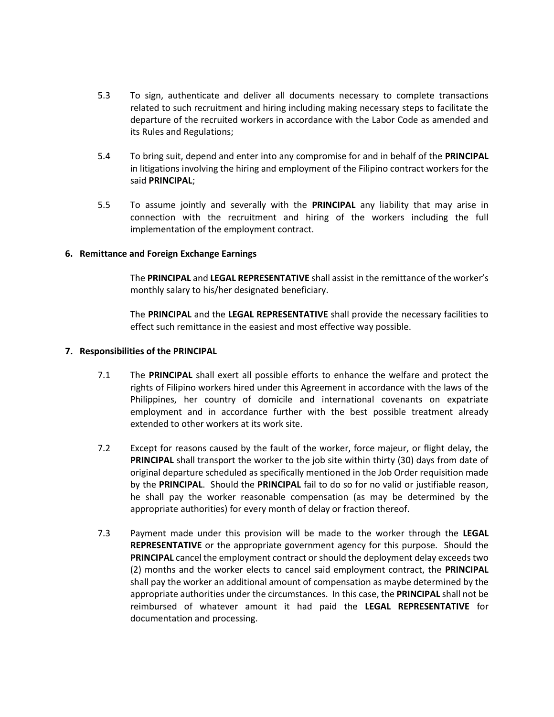- 5.3 To sign, authenticate and deliver all documents necessary to complete transactions related to such recruitment and hiring including making necessary steps to facilitate the departure of the recruited workers in accordance with the Labor Code as amended and its Rules and Regulations;
- 5.4 To bring suit, depend and enter into any compromise for and in behalf of the **PRINCIPAL**  in litigations involving the hiring and employment of the Filipino contract workers for the said **PRINCIPAL**;
- 5.5 To assume jointly and severally with the **PRINCIPAL** any liability that may arise in connection with the recruitment and hiring of the workers including the full implementation of the employment contract.

## **6. Remittance and Foreign Exchange Earnings**

The **PRINCIPAL** and **LEGAL REPRESENTATIVE** shall assist in the remittance of the worker's monthly salary to his/her designated beneficiary.

The **PRINCIPAL** and the **LEGAL REPRESENTATIVE** shall provide the necessary facilities to effect such remittance in the easiest and most effective way possible.

#### **7. Responsibilities of the PRINCIPAL**

- 7.1 The **PRINCIPAL** shall exert all possible efforts to enhance the welfare and protect the rights of Filipino workers hired under this Agreement in accordance with the laws of the Philippines, her country of domicile and international covenants on expatriate employment and in accordance further with the best possible treatment already extended to other workers at its work site.
- 7.2 Except for reasons caused by the fault of the worker, force majeur, or flight delay, the **PRINCIPAL** shall transport the worker to the job site within thirty (30) days from date of original departure scheduled as specifically mentioned in the Job Order requisition made by the **PRINCIPAL**. Should the **PRINCIPAL** fail to do so for no valid or justifiable reason, he shall pay the worker reasonable compensation (as may be determined by the appropriate authorities) for every month of delay or fraction thereof.
- 7.3 Payment made under this provision will be made to the worker through the **LEGAL REPRESENTATIVE** or the appropriate government agency for this purpose. Should the **PRINCIPAL** cancel the employment contract or should the deployment delay exceeds two (2) months and the worker elects to cancel said employment contract, the **PRINCIPAL** shall pay the worker an additional amount of compensation as maybe determined by the appropriate authorities under the circumstances. In this case, the **PRINCIPAL** shall not be reimbursed of whatever amount it had paid the **LEGAL REPRESENTATIVE** for documentation and processing.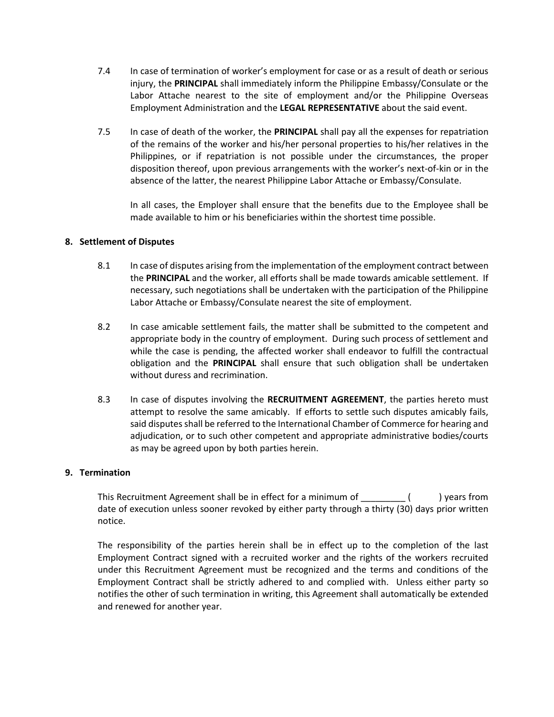- 7.4 In case of termination of worker's employment for case or as a result of death or serious injury, the **PRINCIPAL** shall immediately inform the Philippine Embassy/Consulate or the Labor Attache nearest to the site of employment and/or the Philippine Overseas Employment Administration and the **LEGAL REPRESENTATIVE** about the said event.
- 7.5 In case of death of the worker, the **PRINCIPAL** shall pay all the expenses for repatriation of the remains of the worker and his/her personal properties to his/her relatives in the Philippines, or if repatriation is not possible under the circumstances, the proper disposition thereof, upon previous arrangements with the worker's next-of-kin or in the absence of the latter, the nearest Philippine Labor Attache or Embassy/Consulate.

In all cases, the Employer shall ensure that the benefits due to the Employee shall be made available to him or his beneficiaries within the shortest time possible.

# **8. Settlement of Disputes**

- 8.1 In case of disputes arising from the implementation of the employment contract between the **PRINCIPAL** and the worker, all efforts shall be made towards amicable settlement. If necessary, such negotiations shall be undertaken with the participation of the Philippine Labor Attache or Embassy/Consulate nearest the site of employment.
- 8.2 In case amicable settlement fails, the matter shall be submitted to the competent and appropriate body in the country of employment. During such process of settlement and while the case is pending, the affected worker shall endeavor to fulfill the contractual obligation and the **PRINCIPAL** shall ensure that such obligation shall be undertaken without duress and recrimination.
- 8.3 In case of disputes involving the **RECRUITMENT AGREEMENT**, the parties hereto must attempt to resolve the same amicably. If efforts to settle such disputes amicably fails, said disputes shall be referred to the International Chamber of Commerce for hearing and adjudication, or to such other competent and appropriate administrative bodies/courts as may be agreed upon by both parties herein.

# **9. Termination**

This Recruitment Agreement shall be in effect for a minimum of  $($  ) years from date of execution unless sooner revoked by either party through a thirty (30) days prior written notice.

The responsibility of the parties herein shall be in effect up to the completion of the last Employment Contract signed with a recruited worker and the rights of the workers recruited under this Recruitment Agreement must be recognized and the terms and conditions of the Employment Contract shall be strictly adhered to and complied with. Unless either party so notifies the other of such termination in writing, this Agreement shall automatically be extended and renewed for another year.